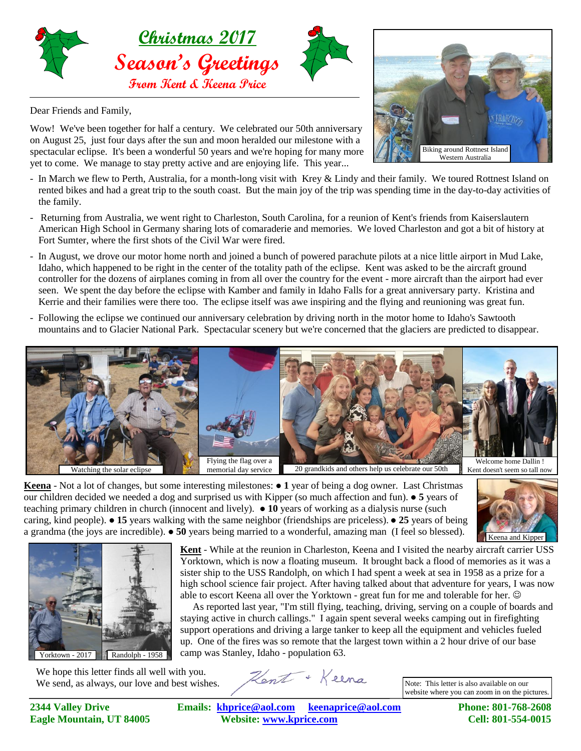

Dear Friends and Family,

Wow! We've been together for half a century. We celebrated our 50th anniversary on August 25, just four days after the sun and moon heralded our milestone with a spectacular eclipse. It's been a wonderful 50 years and we're hoping for many more yet to come. We manage to stay pretty active and are enjoying life. This year...

- In March we flew to Perth, Australia, for a month-long visit with Krey & Lindy and their family. We toured Rottnest Island on rented bikes and had a great trip to the south coast. But the main joy of the trip was spending time in the day-to-day activities of the family.
- Returning from Australia, we went right to Charleston, South Carolina, for a reunion of Kent's friends from Kaiserslautern American High School in Germany sharing lots of comaraderie and memories. We loved Charleston and got a bit of history at Fort Sumter, where the first shots of the Civil War were fired.
- In August, we drove our motor home north and joined a bunch of powered parachute pilots at a nice little airport in Mud Lake, Idaho, which happened to be right in the center of the totality path of the eclipse. Kent was asked to be the aircraft ground controller for the dozens of airplanes coming in from all over the country for the event - more aircraft than the airport had ever seen. We spent the day before the eclipse with Kamber and family in Idaho Falls for a great anniversary party. Kristina and Kerrie and their families were there too. The eclipse itself was awe inspiring and the flying and reunioning was great fun.
- Following the eclipse we continued our anniversary celebration by driving north in the motor home to Idaho's Sawtooth mountains and to Glacier National Park. Spectacular scenery but we're concerned that the glaciers are predicted to disappear.



**Keena** - Not a lot of changes, but some interesting milestones:  $\bullet$  1 year of being a dog owner. Last Christmas Keena - Not a lot of changes, but some interesting milestones:  $\bullet$  1 year of being a dog owner. Last Christmas our children decided we needed a dog and surprised us with Kipper (so much affection and fun).  $\bullet$  5 years o teaching primary children in church (innocent and lively).  $\bullet$  10 years of working as a dialysis nurse (such caring, kind people).  $\bullet$  15 years walking with the same neighbor (friendships are priceless).  $\bullet$  25 years of being a grandma (the joys are incredible).  $\bullet$  50 years being married to a wonderful, amazing man (I feel so blessed).





We hope this letter finds all well with you. We send, as always, our love and best wishes.

Kent + Keena

**Kent** - While at the reunion in Charleston, Keena and I visited the nearby aircraft carrier USS Yorktown, which is now a floating museum. It brought back a flood of memories as it was a sister ship to the USS Randolph, on which I had spent a week at sea in 1958 as a prize for a high school science fair project. After having talked about that adventure for years, I was now

 As reported last year, "I'm still flying, teaching, driving, serving on a couple of boards and staying active in church callings." I again spent several weeks camping out in firefighting support operations and driving a large tanker to keep all the equipment and vehicles fueled up. One of the fires was so remote that the largest town within a 2 hour drive of our base

able to escort Keena all over the Yorktown - great fun for me and tolerable for her.

Note: This letter is also available on our website where you can zoom in on the pictures.

**2344 Valley Drive Emails: [khprice@aol.com keenaprice@aol.com](mailto:khprice@aol.com) Phone: 801-768-2608 Eagle Mountain, UT 84005 Website: [www.kprice.com](mailto:khprice@aol.com) Cell: 801-554-0015**

camp was Stanley, Idaho - population 63.